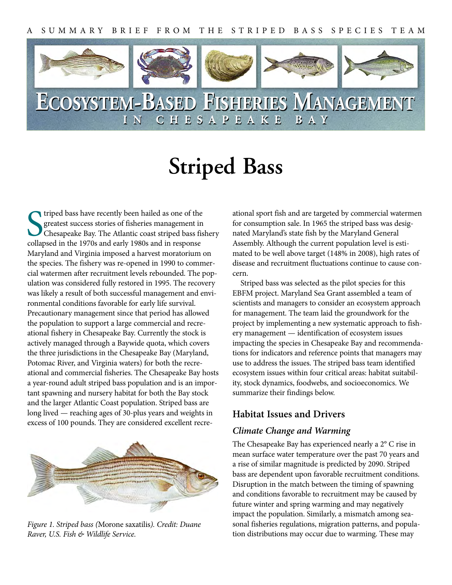

# **Striped Bass**

Triped bass have recently been hailed as one of the greatest success stories of fisheries management in Chesapeake Bay. The Atlantic coast striped bass fiscollapsed in the 1970s and early 1980s and in response triped bass have recently been hailed as one of the greatest success stories of fisheries management in Chesapeake Bay. The Atlantic coast striped bass fishery Maryland and Virginia imposed a harvest moratorium on the species. The fishery was re-opened in 1990 to commercial watermen after recruitment levels rebounded. The population was considered fully restored in 1995. The recovery was likely a result of both successful management and environmental conditions favorable for early life survival. Precautionary management since that period has allowed the population to support a large commercial and recreational fishery in Chesapeake Bay. Currently the stock is actively managed through a Baywide quota, which covers the three jurisdictions in the Chesapeake Bay (Maryland, Potomac River, and Virginia waters) for both the recreational and commercial fisheries. The Chesapeake Bay hosts a year-round adult striped bass population and is an important spawning and nursery habitat for both the Bay stock and the larger Atlantic Coast population. Striped bass are long lived — reaching ages of 30-plus years and weights in excess of 100 pounds. They are considered excellent recre-



*Figure 1. Striped bass (*Morone saxatilis*). Credit: Duane Raver, U.S. Fish & Wildlife Service.*

ational sport fish and are targeted by commercial watermen for consumption sale. In 1965 the striped bass was designated Maryland's state fish by the Maryland General Assembly. Although the current population level is estimated to be well above target (148% in 2008), high rates of disease and recruitment fluctuations continue to cause concern.

Striped bass was selected as the pilot species for this EBFM project. Maryland Sea Grant assembled a team of scientists and managers to consider an ecosystem approach for management. The team laid the groundwork for the project by implementing a new systematic approach to fishery management — identification of ecosystem issues impacting the species in Chesapeake Bay and recommendations for indicators and reference points that managers may use to address the issues. The striped bass team identified ecosystem issues within four critical areas: habitat suitability, stock dynamics, foodwebs, and socioeconomics. We summarize their findings below.

#### **Habitat Issues and Drivers**

#### *Climate Change and Warming*

The Chesapeake Bay has experienced nearly a 2° C rise in mean surface water temperature over the past 70 years and a rise of similar magnitude is predicted by 2090. Striped bass are dependent upon favorable recruitment conditions. Disruption in the match between the timing of spawning and conditions favorable to recruitment may be caused by future winter and spring warming and may negatively impact the population. Similarly, a mismatch among seasonal fisheries regulations, migration patterns, and population distributions may occur due to warming. These may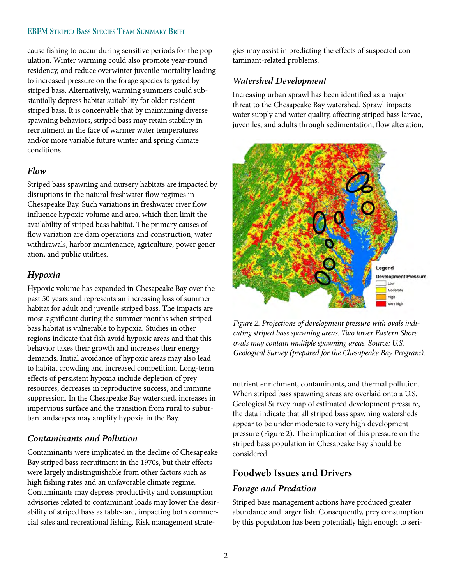cause fishing to occur during sensitive periods for the population. Winter warming could also promote year-round residency, and reduce overwinter juvenile mortality leading to increased pressure on the forage species targeted by striped bass. Alternatively, warming summers could substantially depress habitat suitability for older resident striped bass. It is conceivable that by maintaining diverse spawning behaviors, striped bass may retain stability in recruitment in the face of warmer water temperatures and/or more variable future winter and spring climate conditions.

#### *Flow*

Striped bass spawning and nursery habitats are impacted by disruptions in the natural freshwater flow regimes in Chesapeake Bay. Such variations in freshwater river flow influence hypoxic volume and area, which then limit the availability of striped bass habitat. The primary causes of flow variation are dam operations and construction, water withdrawals, harbor maintenance, agriculture, power generation, and public utilities.

### *Hypoxia*

Hypoxic volume has expanded in Chesapeake Bay over the past 50 years and represents an increasing loss of summer habitat for adult and juvenile striped bass. The impacts are most significant during the summer months when striped bass habitat is vulnerable to hypoxia. Studies in other regions indicate that fish avoid hypoxic areas and that this behavior taxes their growth and increases their energy demands. Initial avoidance of hypoxic areas may also lead to habitat crowding and increased competition. Long-term effects of persistent hypoxia include depletion of prey resources, decreases in reproductive success, and immune suppression. In the Chesapeake Bay watershed, increases in impervious surface and the transition from rural to suburban landscapes may amplify hypoxia in the Bay.

### *Contaminants and Pollution*

Contaminants were implicated in the decline of Chesapeake Bay striped bass recruitment in the 1970s, but their effects were largely indistinguishable from other factors such as high fishing rates and an unfavorable climate regime. Contaminants may depress productivity and consumption advisories related to contaminant loads may lower the desirability of striped bass as table-fare, impacting both commercial sales and recreational fishing. Risk management strategies may assist in predicting the effects of suspected contaminant-related problems.

#### *Watershed Development*

Increasing urban sprawl has been identified as a major threat to the Chesapeake Bay watershed. Sprawl impacts water supply and water quality, affecting striped bass larvae, juveniles, and adults through sedimentation, flow alteration,



*Figure 2. Projections of development pressure with ovals indicating striped bass spawning areas. Two lower Eastern Shore ovals may contain multiple spawning areas. Source: U.S. Geological Survey (prepared for the Chesapeake Bay Program).*

nutrient enrichment, contaminants, and thermal pollution. When striped bass spawning areas are overlaid onto a U.S. Geological Survey map of estimated development pressure, the data indicate that all striped bass spawning watersheds appear to be under moderate to very high development pressure (Figure 2). The implication of this pressure on the striped bass population in Chesapeake Bay should be considered.

### **Foodweb Issues and Drivers**

#### *Forage and Predation*

Striped bass management actions have produced greater abundance and larger fish. Consequently, prey consumption by this population has been potentially high enough to seri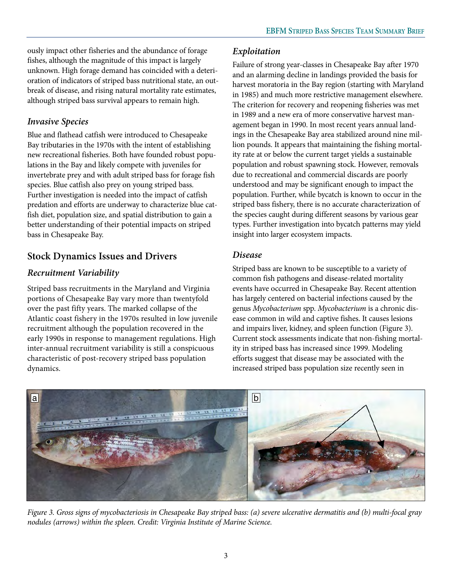ously impact other fisheries and the abundance of forage fishes, although the magnitude of this impact is largely unknown. High forage demand has coincided with a deterioration of indicators of striped bass nutritional state, an outbreak of disease, and rising natural mortality rate estimates, although striped bass survival appears to remain high.

## *Invasive Species*

Blue and flathead catfish were introduced to Chesapeake Bay tributaries in the 1970s with the intent of establishing new recreational fisheries. Both have founded robust populations in the Bay and likely compete with juveniles for invertebrate prey and with adult striped bass for forage fish species. Blue catfish also prey on young striped bass. Further investigation is needed into the impact of catfish predation and efforts are underway to characterize blue catfish diet, population size, and spatial distribution to gain a better understanding of their potential impacts on striped bass in Chesapeake Bay.

# **Stock Dynamics Issues and Drivers**

# *Recruitment Variability*

Striped bass recruitments in the Maryland and Virginia portions of Chesapeake Bay vary more than twentyfold over the past fifty years. The marked collapse of the Atlantic coast fishery in the 1970s resulted in low juvenile recruitment although the population recovered in the early 1990s in response to management regulations. High inter-annual recruitment variability is still a conspicuous characteristic of post-recovery striped bass population dynamics.

## *Exploitation*

Failure of strong year-classes in Chesapeake Bay after 1970 and an alarming decline in landings provided the basis for harvest moratoria in the Bay region (starting with Maryland in 1985) and much more restrictive management elsewhere. The criterion for recovery and reopening fisheries was met in 1989 and a new era of more conservative harvest management began in 1990. In most recent years annual landings in the Chesapeake Bay area stabilized around nine million pounds. It appears that maintaining the fishing mortality rate at or below the current target yields a sustainable population and robust spawning stock. However, removals due to recreational and commercial discards are poorly understood and may be significant enough to impact the population. Further, while bycatch is known to occur in the striped bass fishery, there is no accurate characterization of the species caught during different seasons by various gear types. Further investigation into bycatch patterns may yield insight into larger ecosystem impacts.

### *Disease*

Striped bass are known to be susceptible to a variety of common fish pathogens and disease-related mortality events have occurred in Chesapeake Bay. Recent attention has largely centered on bacterial infections caused by the genus *Mycobacterium* spp. *Mycobacterium* is a chronic disease common in wild and captive fishes. It causes lesions and impairs liver, kidney, and spleen function (Figure 3). Current stock assessments indicate that non-fishing mortality in striped bass has increased since 1999. Modeling efforts suggest that disease may be associated with the increased striped bass population size recently seen in



*Figure 3. Gross signs of mycobacteriosis in Chesapeake Bay striped bass: (a) severe ulcerative dermatitis and (b) multi-focal gray nodules (arrows) within the spleen. Credit: Virginia Institute of Marine Science.*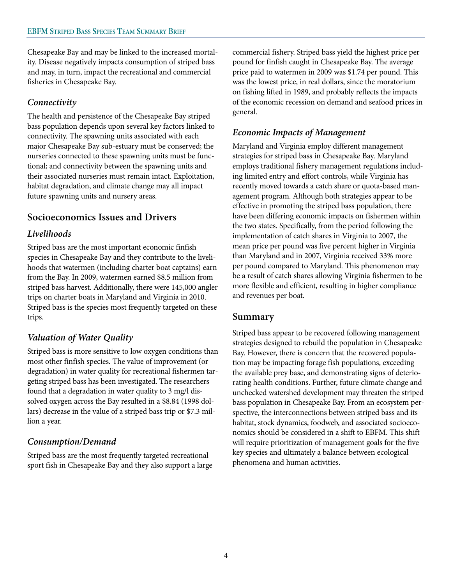Chesapeake Bay and may be linked to the increased mortality. Disease negatively impacts consumption of striped bass and may, in turn, impact the recreational and commercial fisheries in Chesapeake Bay.

## *Connectivity*

The health and persistence of the Chesapeake Bay striped bass population depends upon several key factors linked to connectivity. The spawning units associated with each major Chesapeake Bay sub-estuary must be conserved; the nurseries connected to these spawning units must be functional; and connectivity between the spawning units and their associated nurseries must remain intact. Exploitation, habitat degradation, and climate change may all impact future spawning units and nursery areas.

## **Socioeconomics Issues and Drivers**

### *Livelihoods*

Striped bass are the most important economic finfish species in Chesapeake Bay and they contribute to the livelihoods that watermen (including charter boat captains) earn from the Bay. In 2009, watermen earned \$8.5 million from striped bass harvest. Additionally, there were 145,000 angler trips on charter boats in Maryland and Virginia in 2010. Striped bass is the species most frequently targeted on these trips.

# *Valuation of Water Quality*

Striped bass is more sensitive to low oxygen conditions than most other finfish species. The value of improvement (or degradation) in water quality for recreational fishermen targeting striped bass has been investigated. The researchers found that a degradation in water quality to 3 mg/l dissolved oxygen across the Bay resulted in a \$8.84 (1998 dollars) decrease in the value of a striped bass trip or \$7.3 million a year.

### *Consumption/Demand*

Striped bass are the most frequently targeted recreational sport fish in Chesapeake Bay and they also support a large commercial fishery. Striped bass yield the highest price per pound for finfish caught in Chesapeake Bay. The average price paid to watermen in 2009 was \$1.74 per pound. This was the lowest price, in real dollars, since the moratorium on fishing lifted in 1989, and probably reflects the impacts of the economic recession on demand and seafood prices in general.

### *Economic Impacts of Management*

Maryland and Virginia employ different management strategies for striped bass in Chesapeake Bay. Maryland employs traditional fishery management regulations including limited entry and effort controls, while Virginia has recently moved towards a catch share or quota-based management program. Although both strategies appear to be effective in promoting the striped bass population, there have been differing economic impacts on fishermen within the two states. Specifically, from the period following the implementation of catch shares in Virginia to 2007, the mean price per pound was five percent higher in Virginia than Maryland and in 2007, Virginia received 33% more per pound compared to Maryland. This phenomenon may be a result of catch shares allowing Virginia fishermen to be more flexible and efficient, resulting in higher compliance and revenues per boat.

### **Summary**

Striped bass appear to be recovered following management strategies designed to rebuild the population in Chesapeake Bay. However, there is concern that the recovered population may be impacting forage fish populations, exceeding the available prey base, and demonstrating signs of deteriorating health conditions. Further, future climate change and unchecked watershed development may threaten the striped bass population in Chesapeake Bay. From an ecosystem perspective, the interconnections between striped bass and its habitat, stock dynamics, foodweb, and associated socioeconomics should be considered in a shift to EBFM. This shift will require prioritization of management goals for the five key species and ultimately a balance between ecological phenomena and human activities.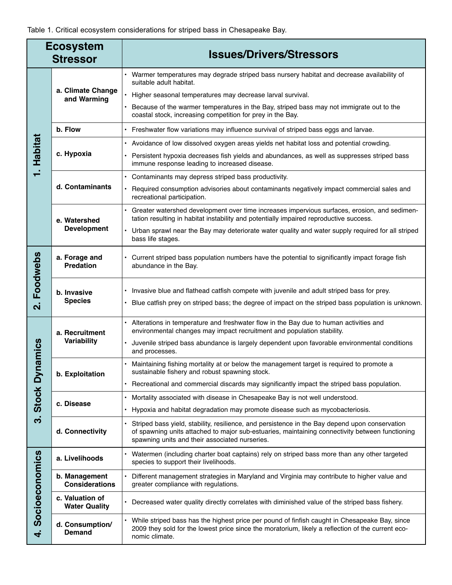#### Table 1. Critical ecosystem considerations for striped bass in Chesapeake Bay.

| <b>Ecosystem</b><br><b>Stressor</b> |                                         | <b>Issues/Drivers/Stressors</b>                                                                                                                                                                                                                     |
|-------------------------------------|-----------------------------------------|-----------------------------------------------------------------------------------------------------------------------------------------------------------------------------------------------------------------------------------------------------|
| <b>Habitat</b>                      | a. Climate Change<br>and Warming        | Warmer temperatures may degrade striped bass nursery habitat and decrease availability of<br>suitable adult habitat.                                                                                                                                |
|                                     |                                         | Higher seasonal temperatures may decrease larval survival.<br>$\bullet$                                                                                                                                                                             |
|                                     |                                         | Because of the warmer temperatures in the Bay, striped bass may not immigrate out to the<br>coastal stock, increasing competition for prey in the Bay.                                                                                              |
|                                     | b. Flow                                 | Freshwater flow variations may influence survival of striped bass eggs and larvae.<br>$\bullet$                                                                                                                                                     |
|                                     | c. Hypoxia                              | • Avoidance of low dissolved oxygen areas yields net habitat loss and potential crowding.                                                                                                                                                           |
|                                     |                                         | Persistent hypoxia decreases fish yields and abundances, as well as suppresses striped bass<br>immune response leading to increased disease.                                                                                                        |
|                                     | d. Contaminants                         | Contaminants may depress striped bass productivity.<br>$\bullet$                                                                                                                                                                                    |
|                                     |                                         | Required consumption advisories about contaminants negatively impact commercial sales and<br>recreational participation.                                                                                                                            |
|                                     | e. Watershed<br><b>Development</b>      | Greater watershed development over time increases impervious surfaces, erosion, and sedimen-<br>tation resulting in habitat instability and potentially impaired reproductive success.                                                              |
|                                     |                                         | Urban sprawl near the Bay may deteriorate water quality and water supply required for all striped<br>$\bullet$<br>bass life stages.                                                                                                                 |
| Foodwebs<br>$\overline{\mathbf{v}}$ | a. Forage and<br><b>Predation</b>       | Current striped bass population numbers have the potential to significantly impact forage fish<br>abundance in the Bay.                                                                                                                             |
|                                     | b. Invasive<br><b>Species</b>           | Invasive blue and flathead catfish compete with juvenile and adult striped bass for prey.                                                                                                                                                           |
|                                     |                                         | Blue catfish prey on striped bass; the degree of impact on the striped bass population is unknown.<br>$\bullet$                                                                                                                                     |
| namics<br>3. Stock Dy               | a. Recruitment<br>Variability           | Alterations in temperature and freshwater flow in the Bay due to human activities and<br>environmental changes may impact recruitment and population stability.                                                                                     |
|                                     |                                         | Juvenile striped bass abundance is largely dependent upon favorable environmental conditions<br>$\bullet$<br>and processes.                                                                                                                         |
|                                     | b. Exploitation                         | Maintaining fishing mortality at or below the management target is required to promote a<br>sustainable fishery and robust spawning stock.                                                                                                          |
|                                     |                                         | Recreational and commercial discards may significantly impact the striped bass population.                                                                                                                                                          |
|                                     | c. Disease                              | Mortality associated with disease in Chesapeake Bay is not well understood.<br>$\bullet$                                                                                                                                                            |
|                                     |                                         | Hypoxia and habitat degradation may promote disease such as mycobacteriosis.                                                                                                                                                                        |
|                                     | d. Connectivity                         | Striped bass yield, stability, resilience, and persistence in the Bay depend upon conservation<br>of spawning units attached to major sub-estuaries, maintaining connectivity between functioning<br>spawning units and their associated nurseries. |
| Socioeconomics<br>$\overline{a}$    | a. Livelihoods                          | Watermen (including charter boat captains) rely on striped bass more than any other targeted<br>species to support their livelihoods.                                                                                                               |
|                                     | b. Management<br><b>Considerations</b>  | Different management strategies in Maryland and Virginia may contribute to higher value and<br>greater compliance with regulations.                                                                                                                 |
|                                     | c. Valuation of<br><b>Water Quality</b> | Decreased water quality directly correlates with diminished value of the striped bass fishery.                                                                                                                                                      |
|                                     | d. Consumption/<br><b>Demand</b>        | While striped bass has the highest price per pound of finfish caught in Chesapeake Bay, since<br>2009 they sold for the lowest price since the moratorium, likely a reflection of the current eco-<br>nomic climate.                                |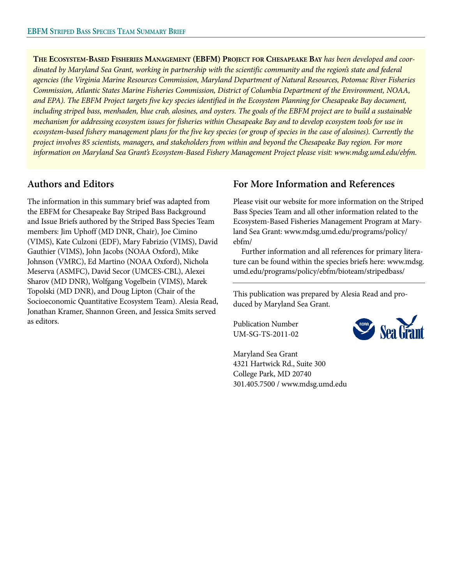**THE ECOSYSTEM-BASED FISHERIES MANAGEMENT (EBFM) PROJECT FOR CHESAPEAKE BAY** *has been developed and coordinated by Maryland Sea Grant, working in partnership with the scientific community and the region's state and federal agencies (the Virginia Marine Resources Commission, Maryland Department of Natural Resources, Potomac River Fisheries Commission, Atlantic States Marine Fisheries Commission, District of Columbia Department of the Environment, NOAA, and EPA). The EBFM Project targets five key species identified in the Ecosystem Planning for Chesapeake Bay document, including striped bass, menhaden, blue crab, alosines, and oysters. The goals of the EBFM project are to build a sustainable mechanism for addressing ecosystem issues for fisheries within Chesapeake Bay and to develop ecosystem tools for use in ecosystem-based fishery management plans for the five key species (or group of species in the case of alosines). Currently the project involves 85 scientists, managers, and stakeholders from within and beyond the Chesapeake Bay region. For more information on Maryland Sea Grant's Ecosystem-Based Fishery Management Project please visit: www.mdsg.umd.edu/ebfm.*

#### **Authors and Editors**

The information in this summary brief was adapted from the EBFM for Chesapeake Bay Striped Bass Background and Issue Briefs authored by the Striped Bass Species Team members: Jim Uphoff (MD DNR, Chair), Joe Cimino (VIMS), Kate Culzoni (EDF), Mary Fabrizio (VIMS), David Gauthier (VIMS), John Jacobs (NOAA Oxford), Mike Johnson (VMRC), Ed Martino (NOAA Oxford), Nichola Meserva (ASMFC), David Secor (UMCES-CBL), Alexei Sharov (MD DNR), Wolfgang Vogelbein (VIMS), Marek Topolski (MD DNR), and Doug Lipton (Chair of the Socioeconomic Quantitative Ecosystem Team). Alesia Read, Jonathan Kramer, Shannon Green, and Jessica Smits served as editors.

### **For More Information and References**

Please visit our website for more information on the Striped Bass Species Team and all other information related to the Ecosystem-Based Fisheries Management Program at Mary land Sea Grant: www.mdsg.umd.edu/programs/policy/ ebfm/

Further information and all references for primary literature can be found within the species briefs here: www.mdsg. umd.edu/programs/policy/ebfm/bioteam/stripedbass/

This publication was prepared by Alesia Read and produced by Maryland Sea Grant.

Publication Number UM-SG-TS-2011-02



Maryland Sea Grant 4321 Hartwick Rd., Suite 300 College Park, MD 20740 301.405.7500 / www.mdsg.umd.edu